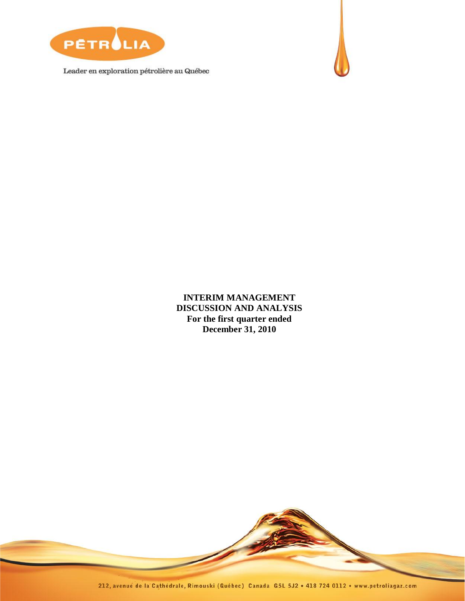

Leader en exploration pétrolière au Québec



**INTERIM MANAGEMENT DISCUSSION AND ANALYSIS For the first quarter ended December 31, 2010**

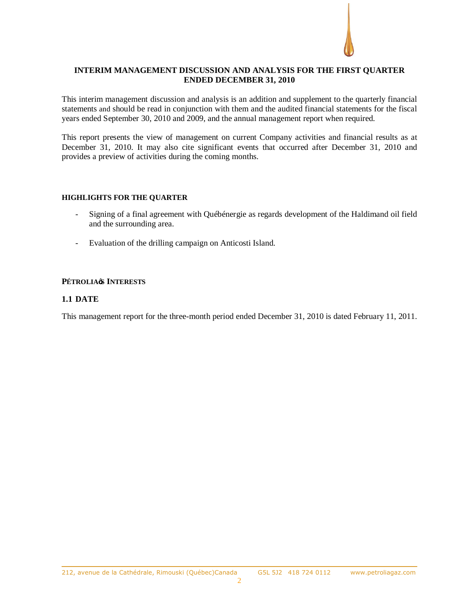# **INTERIM MANAGEMENT DISCUSSION AND ANALYSIS FOR THE FIRST QUARTER ENDED DECEMBER 31, 2010**

This interim management discussion and analysis is an addition and supplement to the quarterly financial statements and should be read in conjunction with them and the audited financial statements for the fiscal years ended September 30, 2010 and 2009, and the annual management report when required.

This report presents the view of management on current Company activities and financial results as at December 31, 2010. It may also cite significant events that occurred after December 31, 2010 and provides a preview of activities during the coming months.

## **HIGHLIGHTS FOR THE QUARTER**

- Signing of a final agreement with Québénergie as regards development of the Haldimand oil field and the surrounding area.
- Evaluation of the drilling campaign on Anticosti Island.

# **PÉTROLIA'S INTERESTS**

# **1.1 DATE**

This management report for the three-month period ended December 31, 2010 is dated February 11, 2011.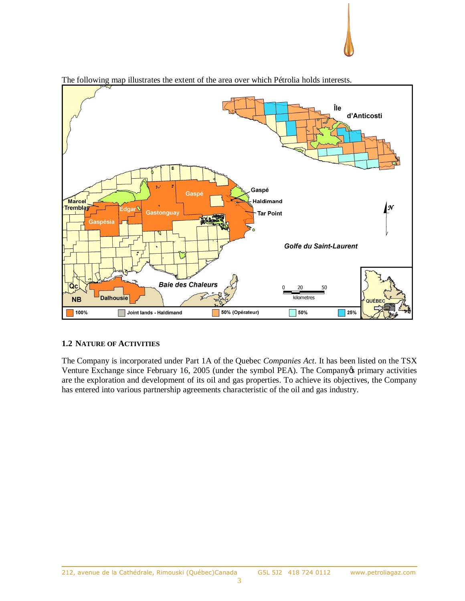

The following map illustrates the extent of the area over which Pétrolia holds interests.

# **1.2 NATURE OF ACTIVITIES**

The Company is incorporated under Part 1A of the Quebec *Companies Act*. It has been listed on the TSX Venture Exchange since February 16, 2005 (under the symbol PEA). The Company oprimary activities are the exploration and development of its oil and gas properties. To achieve its objectives, the Company has entered into various partnership agreements characteristic of the oil and gas industry.

 $\overline{a}$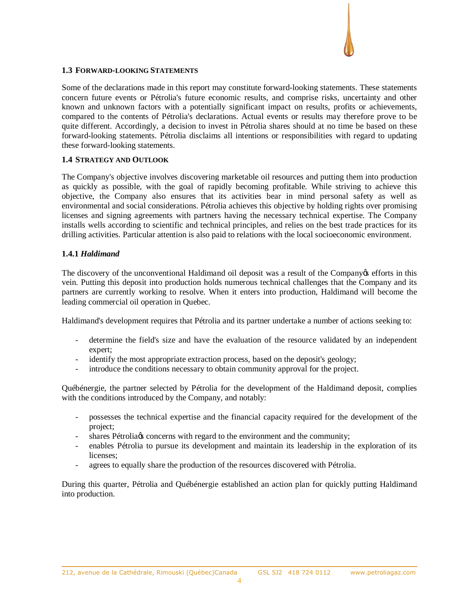## **1.3 FORWARD-LOOKING STATEMENTS**

Some of the declarations made in this report may constitute forward-looking statements. These statements concern future events or Pétrolia's future economic results, and comprise risks, uncertainty and other known and unknown factors with a potentially significant impact on results, profits or achievements, compared to the contents of Pétrolia's declarations. Actual events or results may therefore prove to be quite different. Accordingly, a decision to invest in Pétrolia shares should at no time be based on these forward-looking statements. Pétrolia disclaims all intentions or responsibilities with regard to updating these forward-looking statements.

# **1.4 STRATEGY AND OUTLOOK**

The Company's objective involves discovering marketable oil resources and putting them into production as quickly as possible, with the goal of rapidly becoming profitable. While striving to achieve this objective, the Company also ensures that its activities bear in mind personal safety as well as environmental and social considerations. Pétrolia achieves this objective by holding rights over promising licenses and signing agreements with partners having the necessary technical expertise. The Company installs wells according to scientific and technical principles, and relies on the best trade practices for its drilling activities. Particular attention is also paid to relations with the local socioeconomic environment.

## **1.4.1** *Haldimand*

The discovery of the unconventional Haldimand oil deposit was a result of the Company os efforts in this vein. Putting this deposit into production holds numerous technical challenges that the Company and its partners are currently working to resolve. When it enters into production, Haldimand will become the leading commercial oil operation in Quebec.

Haldimand's development requires that Pétrolia and its partner undertake a number of actions seeking to:

- determine the field's size and have the evaluation of the resource validated by an independent expert;
- identify the most appropriate extraction process, based on the deposit's geology;
- introduce the conditions necessary to obtain community approval for the project.

Québénergie, the partner selected by Pétrolia for the development of the Haldimand deposit, complies with the conditions introduced by the Company, and notably:

- possesses the technical expertise and the financial capacity required for the development of the project;
- shares Pétrolia *c* concerns with regard to the environment and the community;
- enables Pétrolia to pursue its development and maintain its leadership in the exploration of its licenses;
- agrees to equally share the production of the resources discovered with Pétrolia.

During this quarter, Pétrolia and Québénergie established an action plan for quickly putting Haldimand into production.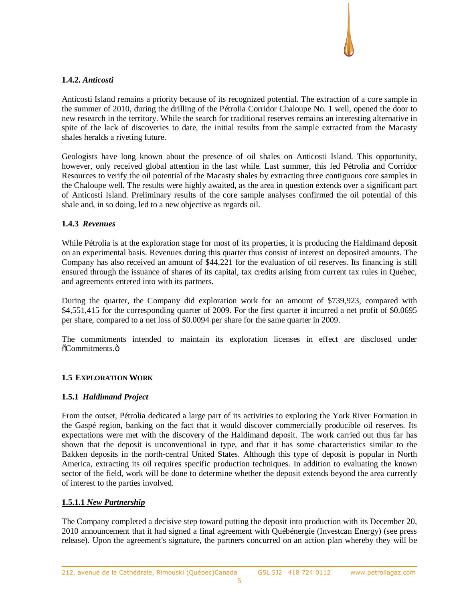# **1.4.2.** *Anticosti*

Anticosti Island remains a priority because of its recognized potential. The extraction of a core sample in the summer of 2010, during the drilling of the Pétrolia Corridor Chaloupe No. 1 well, opened the door to new research in the territory. While the search for traditional reserves remains an interesting alternative in spite of the lack of discoveries to date, the initial results from the sample extracted from the Macasty shales heralds a riveting future.

Geologists have long known about the presence of oil shales on Anticosti Island. This opportunity, however, only received global attention in the last while. Last summer, this led Pétrolia and Corridor Resources to verify the oil potential of the Macasty shales by extracting three contiguous core samples in the Chaloupe well. The results were highly awaited, as the area in question extends over a significant part of Anticosti Island. Preliminary results of the core sample analyses confirmed the oil potential of this shale and, in so doing, led to a new objective as regards oil.

# **1.4.3** *Revenues*

While Pétrolia is at the exploration stage for most of its properties, it is producing the Haldimand deposit on an experimental basis. Revenues during this quarter thus consist of interest on deposited amounts. The Company has also received an amount of \$44,221 for the evaluation of oil reserves. Its financing is still ensured through the issuance of shares of its capital, tax credits arising from current tax rules in Quebec, and agreements entered into with its partners.

During the quarter, the Company did exploration work for an amount of \$739,923, compared with \$4,551,415 for the corresponding quarter of 2009. For the first quarter it incurred a net profit of \$0.0695 per share, compared to a net loss of \$0.0094 per share for the same quarter in 2009.

The commitments intended to maintain its exploration licenses in effect are disclosed under  $\tilde{\text{o}}$ Commitments.ö

# **1.5 EXPLORATION WORK**

# **1.5.1** *Haldimand Project*

From the outset, Pétrolia dedicated a large part of its activities to exploring the York River Formation in the Gaspé region, banking on the fact that it would discover commercially producible oil reserves. Its expectations were met with the discovery of the Haldimand deposit. The work carried out thus far has shown that the deposit is unconventional in type, and that it has some characteristics similar to the Bakken deposits in the north-central United States. Although this type of deposit is popular in North America, extracting its oil requires specific production techniques. In addition to evaluating the known sector of the field, work will be done to determine whether the deposit extends beyond the area currently of interest to the parties involved.

# **1.5.1.1** *New Partnership*

The Company completed a decisive step toward putting the deposit into production with its December 20, 2010 announcement that it had signed a final agreement with Québénergie (Investcan Energy) (see press release). Upon the agreement's signature, the partners concurred on an action plan whereby they will be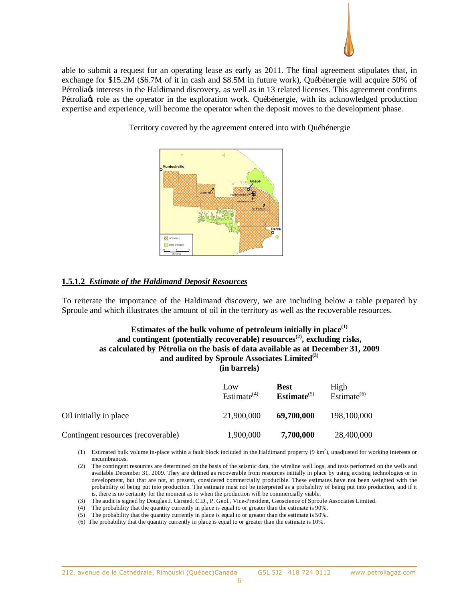

able to submit a request for an operating lease as early as 2011. The final agreement stipulates that, in exchange for \$15.2M (\$6.7M of it in cash and \$8.5M in future work), Québénergie will acquire 50% of Pétrolia *interests* in the Haldimand discovery, as well as in 13 related licenses. This agreement confirms Pétroliags role as the operator in the exploration work. Québénergie, with its acknowledged production expertise and experience, will become the operator when the deposit moves to the development phase.

Territory covered by the agreement entered into with Québénergie



# **1.5.1.2** *Estimate of the Haldimand Deposit Resources*

To reiterate the importance of the Haldimand discovery, we are including below a table prepared by Sproule and which illustrates the amount of oil in the territory as well as the recoverable resources.

# **Estimates of the bulk volume of petroleum initially in place(1) and contingent (potentially recoverable) resources(2), excluding risks, as calculated by Pétrolia on the basis of data available as at December 31, 2009** and audited by Sproule Associates Limited<sup>(3)</sup> **(in barrels)**

|                                    | Low<br>Estimate $(4)$ | <b>Best</b><br>Estimate $(5)$ | High<br>Estimate $^{(6)}$ |
|------------------------------------|-----------------------|-------------------------------|---------------------------|
| Oil initially in place             | 21,900,000            | 69,700,000                    | 198,100,000               |
| Contingent resources (recoverable) | 1,900,000             | 7,700,000                     | 28,400,000                |

- (1) Estimated bulk volume in-place within a fault block included in the Haldimand property  $(9 \text{ km}^2)$ , unadjusted for working interests or encumbrances.
- (2) The contingent resources are determined on the basis of the seismic data, the wireline well logs, and tests performed on the wells and available December 31, 2009. They are defined as recoverable from resources initially in place by using existing technologies or in development, but that are not, at present, considered commercially producible. These estimates have not been weighted with the probability of being put into production. The estimate must not be interpreted as a probability of being put into production, and if it is, there is no certainty for the moment as to when the production will be commercially viable.
- (3) The audit is signed by Douglas J. Carsted, C.D., P. Geol., Vice-President, Geoscience of Sproule Associates Limited.
- (4) The probability that the quantity currently in place is equal to or greater than the estimate is 90%.
- (5) The probability that the quantity currently in place is equal to or greater than the estimate is 50%.
- (6) The probability that the quantity currently in place is equal to or greater than the estimate is 10%.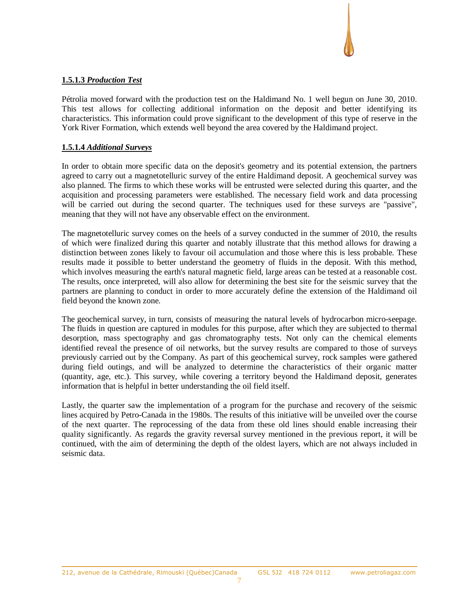# **1.5.1.3** *Production Test*

Pétrolia moved forward with the production test on the Haldimand No. 1 well begun on June 30, 2010. This test allows for collecting additional information on the deposit and better identifying its characteristics. This information could prove significant to the development of this type of reserve in the York River Formation, which extends well beyond the area covered by the Haldimand project.

# **1.5.1.4** *Additional Surveys*

In order to obtain more specific data on the deposit's geometry and its potential extension, the partners agreed to carry out a magnetotelluric survey of the entire Haldimand deposit. A geochemical survey was also planned. The firms to which these works will be entrusted were selected during this quarter, and the acquisition and processing parameters were established. The necessary field work and data processing will be carried out during the second quarter. The techniques used for these surveys are "passive", meaning that they will not have any observable effect on the environment.

The magnetotelluric survey comes on the heels of a survey conducted in the summer of 2010, the results of which were finalized during this quarter and notably illustrate that this method allows for drawing a distinction between zones likely to favour oil accumulation and those where this is less probable. These results made it possible to better understand the geometry of fluids in the deposit. With this method, which involves measuring the earth's natural magnetic field, large areas can be tested at a reasonable cost. The results, once interpreted, will also allow for determining the best site for the seismic survey that the partners are planning to conduct in order to more accurately define the extension of the Haldimand oil field beyond the known zone.

The geochemical survey, in turn, consists of measuring the natural levels of hydrocarbon micro-seepage. The fluids in question are captured in modules for this purpose, after which they are subjected to thermal desorption, mass spectography and gas chromatography tests. Not only can the chemical elements identified reveal the presence of oil networks, but the survey results are compared to those of surveys previously carried out by the Company. As part of this geochemical survey, rock samples were gathered during field outings, and will be analyzed to determine the characteristics of their organic matter (quantity, age, etc.). This survey, while covering a territory beyond the Haldimand deposit, generates information that is helpful in better understanding the oil field itself.

Lastly, the quarter saw the implementation of a program for the purchase and recovery of the seismic lines acquired by Petro-Canada in the 1980s. The results of this initiative will be unveiled over the course of the next quarter. The reprocessing of the data from these old lines should enable increasing their quality significantly. As regards the gravity reversal survey mentioned in the previous report, it will be continued, with the aim of determining the depth of the oldest layers, which are not always included in seismic data.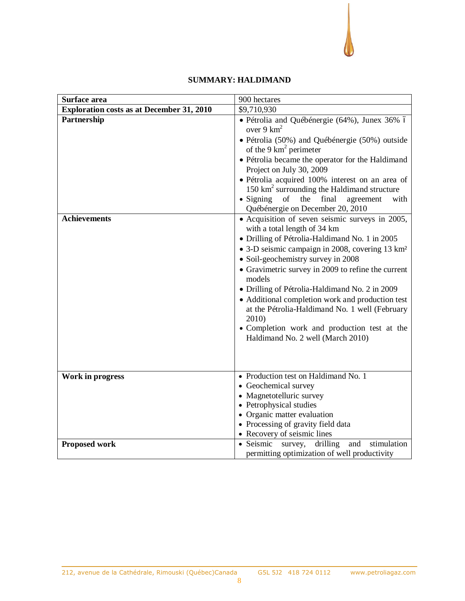# **SUMMARY: HALDIMAND**

| Surface area                                     | 900 hectares                                                                                                                                                                                                                                                                                                                                                                                                                                                                                                                                                 |
|--------------------------------------------------|--------------------------------------------------------------------------------------------------------------------------------------------------------------------------------------------------------------------------------------------------------------------------------------------------------------------------------------------------------------------------------------------------------------------------------------------------------------------------------------------------------------------------------------------------------------|
| <b>Exploration costs as at December 31, 2010</b> | \$9,710,930                                                                                                                                                                                                                                                                                                                                                                                                                                                                                                                                                  |
| Partnership                                      | · Pétrolia and Québénergie (64%), Junex 36% ó<br>over $9 \text{ km}^2$<br>· Pétrolia (50%) and Québénergie (50%) outside<br>of the 9 $km^2$ perimeter<br>• Pétrolia became the operator for the Haldimand<br>Project on July 30, 2009<br>· Pétrolia acquired 100% interest on an area of<br>150 $km^2$ surrounding the Haldimand structure<br>$\bullet$ Signing<br>of<br>the<br>final<br>agreement<br>with<br>Québénergie on December 20, 2010                                                                                                               |
| <b>Achievements</b>                              | • Acquisition of seven seismic surveys in 2005,<br>with a total length of 34 km<br>· Drilling of Pétrolia-Haldimand No. 1 in 2005<br>• 3-D seismic campaign in 2008, covering 13 km <sup>2</sup><br>• Soil-geochemistry survey in 2008<br>• Gravimetric survey in 2009 to refine the current<br>models<br>• Drilling of Pétrolia-Haldimand No. 2 in 2009<br>• Additional completion work and production test<br>at the Pétrolia-Haldimand No. 1 well (February<br>2010)<br>• Completion work and production test at the<br>Haldimand No. 2 well (March 2010) |
| Work in progress                                 | • Production test on Haldimand No. 1<br>• Geochemical survey<br>• Magnetotelluric survey<br>• Petrophysical studies<br>• Organic matter evaluation<br>• Processing of gravity field data<br>• Recovery of seismic lines                                                                                                                                                                                                                                                                                                                                      |
| <b>Proposed work</b>                             | • Seismic<br>stimulation<br>drilling<br>survey,<br>and<br>permitting optimization of well productivity                                                                                                                                                                                                                                                                                                                                                                                                                                                       |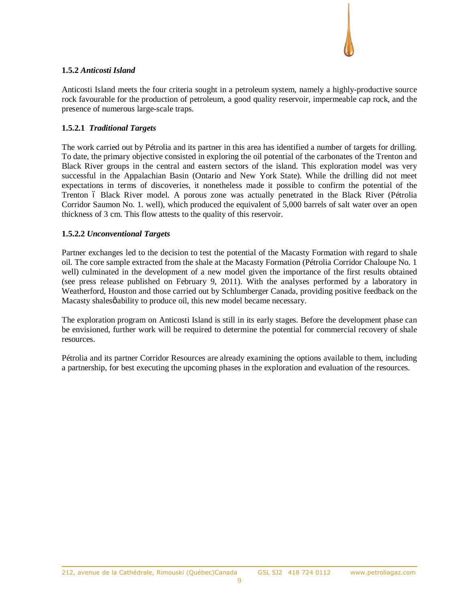

# **1.5.2** *Anticosti Island*

Anticosti Island meets the four criteria sought in a petroleum system, namely a highly-productive source rock favourable for the production of petroleum, a good quality reservoir, impermeable cap rock, and the presence of numerous large-scale traps.

# **1.5.2.1** *Traditional Targets*

The work carried out by Pétrolia and its partner in this area has identified a number of targets for drilling. To date, the primary objective consisted in exploring the oil potential of the carbonates of the Trenton and Black River groups in the central and eastern sectors of the island. This exploration model was very successful in the Appalachian Basin (Ontario and New York State). While the drilling did not meet expectations in terms of discoveries, it nonetheless made it possible to confirm the potential of the Trenton 6 Black River model. A porous zone was actually penetrated in the Black River (Pétrolia Corridor Saumon No. 1. well), which produced the equivalent of 5,000 barrels of salt water over an open thickness of 3 cm. This flow attests to the quality of this reservoir.

# **1.5.2.2** *Unconventional Targets*

Partner exchanges led to the decision to test the potential of the Macasty Formation with regard to shale oil. The core sample extracted from the shale at the Macasty Formation (Pétrolia Corridor Chaloupe No. 1 well) culminated in the development of a new model given the importance of the first results obtained (see press release published on February 9, 2011). With the analyses performed by a laboratory in Weatherford, Houston and those carried out by Schlumberger Canada, providing positive feedback on the Macasty shalesø ability to produce oil, this new model became necessary.

The exploration program on Anticosti Island is still in its early stages. Before the development phase can be envisioned, further work will be required to determine the potential for commercial recovery of shale resources.

Pétrolia and its partner Corridor Resources are already examining the options available to them, including a partnership, for best executing the upcoming phases in the exploration and evaluation of the resources.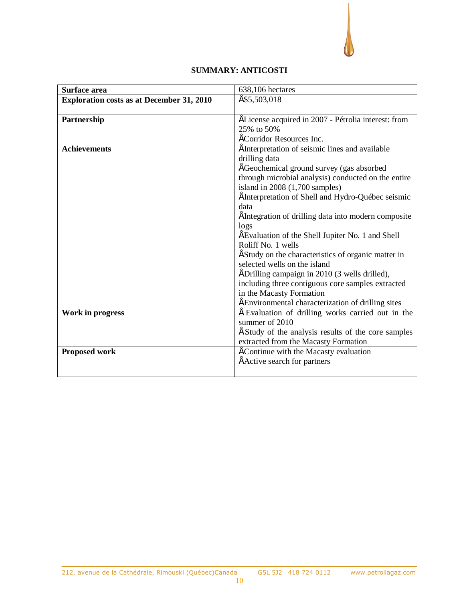# **SUMMARY: ANTICOSTI**

| Surface area                                     | 638,106 hectares                                     |
|--------------------------------------------------|------------------------------------------------------|
| <b>Exploration costs as at December 31, 2010</b> | É\$5,503,018                                         |
|                                                  |                                                      |
| Partnership                                      | ÉLicense acquired in 2007 - Pétrolia interest: from  |
|                                                  | 25% to 50%                                           |
|                                                  | ÉCorridor Resources Inc.                             |
| <b>Achievements</b>                              | " Interpretation of seismic lines and available      |
|                                                  | drilling data                                        |
|                                                  | " Geochemical ground survey (gas absorbed            |
|                                                  | through microbial analysis) conducted on the entire  |
|                                                  | island in $2008(1,700 \text{ samples})$              |
|                                                  | "Interpretation of Shell and Hydro-Québec seismic    |
|                                                  | data                                                 |
|                                                  | " Integration of drilling data into modern composite |
|                                                  | logs                                                 |
|                                                  | " Evaluation of the Shell Jupiter No. 1 and Shell    |
|                                                  | Roliff No. 1 wells                                   |
|                                                  | " Study on the characteristics of organic matter in  |
|                                                  | selected wells on the island                         |
|                                                  | " Drilling campaign in 2010 (3 wells drilled),       |
|                                                  | including three contiguous core samples extracted    |
|                                                  | in the Macasty Formation                             |
|                                                  | " Environmental characterization of drilling sites   |
| Work in progress                                 | Evaluation of drilling works carried out in the      |
|                                                  | summer of 2010                                       |
|                                                  | Study of the analysis results of the core samples    |
|                                                  | extracted from the Macasty Formation                 |
| <b>Proposed work</b>                             | " Continue with the Macasty evaluation               |
|                                                  | " Active search for partners                         |
|                                                  |                                                      |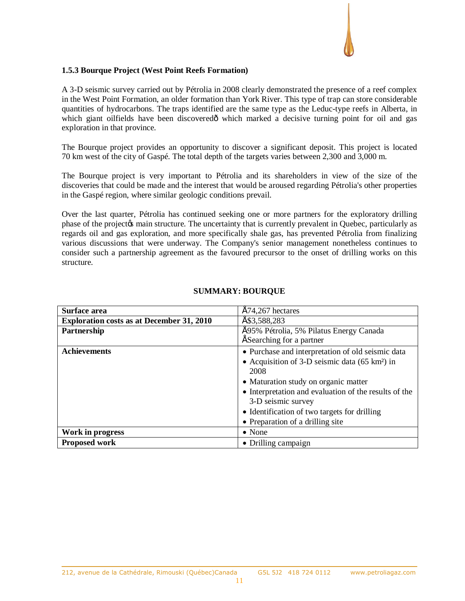

### **1.5.3 Bourque Project (West Point Reefs Formation)**

A 3-D seismic survey carried out by Pétrolia in 2008 clearly demonstrated the presence of a reef complex in the West Point Formation, an older formation than York River. This type of trap can store considerable quantities of hydrocarbons. The traps identified are the same type as the Leduc-type reefs in Alberta, in which giant oilfields have been discoveredô which marked a decisive turning point for oil and gas exploration in that province.

The Bourque project provides an opportunity to discover a significant deposit. This project is located 70 km west of the city of Gaspé. The total depth of the targets varies between 2,300 and 3,000 m.

The Bourque project is very important to Pétrolia and its shareholders in view of the size of the discoveries that could be made and the interest that would be aroused regarding Pétrolia's other properties in the Gaspé region, where similar geologic conditions prevail.

Over the last quarter, Pétrolia has continued seeking one or more partners for the exploratory drilling phase of the project to main structure. The uncertainty that is currently prevalent in Quebec, particularly as regards oil and gas exploration, and more specifically shale gas, has prevented Pétrolia from finalizing various discussions that were underway. The Company's senior management nonetheless continues to consider such a partnership agreement as the favoured precursor to the onset of drilling works on this structure.

| Surface area                                     | $"74,267$ hectares                                               |  |  |
|--------------------------------------------------|------------------------------------------------------------------|--|--|
| <b>Exploration costs as at December 31, 2010</b> | \$3,588,283                                                      |  |  |
| Partnership                                      | " 95% Pétrolia, 5% Pilatus Energy Canada                         |  |  |
|                                                  | Searching for a partner                                          |  |  |
| <b>Achievements</b>                              | • Purchase and interpretation of old seismic data                |  |  |
|                                                  | • Acquisition of 3-D seismic data $(65 \text{ km}^2)$ in<br>2008 |  |  |
|                                                  |                                                                  |  |  |
|                                                  | • Maturation study on organic matter                             |  |  |
|                                                  | • Interpretation and evaluation of the results of the            |  |  |
|                                                  | 3-D seismic survey                                               |  |  |
|                                                  | • Identification of two targets for drilling                     |  |  |
|                                                  | • Preparation of a drilling site                                 |  |  |
| Work in progress                                 | $\bullet$ None                                                   |  |  |
| <b>Proposed work</b>                             | • Drilling campaign                                              |  |  |

## **SUMMARY: BOURQUE**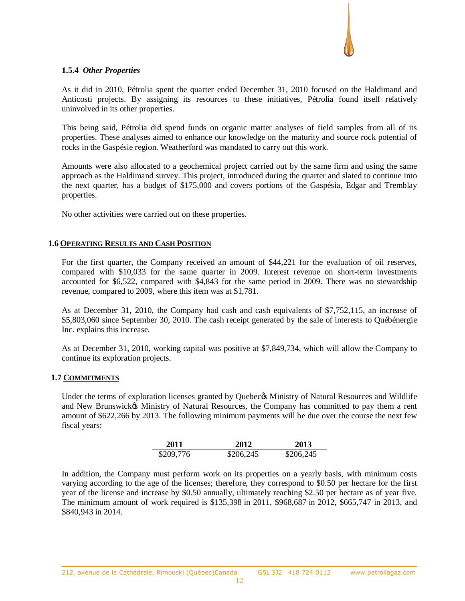

## **1.5.4** *Other Properties*

As it did in 2010, Pétrolia spent the quarter ended December 31, 2010 focused on the Haldimand and Anticosti projects. By assigning its resources to these initiatives, Pétrolia found itself relatively uninvolved in its other properties.

This being said, Pétrolia did spend funds on organic matter analyses of field samples from all of its properties. These analyses aimed to enhance our knowledge on the maturity and source rock potential of rocks in the Gaspésie region. Weatherford was mandated to carry out this work.

Amounts were also allocated to a geochemical project carried out by the same firm and using the same approach as the Haldimand survey. This project, introduced during the quarter and slated to continue into the next quarter, has a budget of \$175,000 and covers portions of the Gaspésia, Edgar and Tremblay properties.

No other activities were carried out on these properties.

### **1.6 OPERATING RESULTS AND CASH POSITION**

For the first quarter, the Company received an amount of \$44,221 for the evaluation of oil reserves, compared with \$10,033 for the same quarter in 2009. Interest revenue on short-term investments accounted for \$6,522, compared with \$4,843 for the same period in 2009. There was no stewardship revenue, compared to 2009, where this item was at \$1,781.

As at December 31, 2010, the Company had cash and cash equivalents of \$7,752,115, an increase of \$5,803,060 since September 30, 2010. The cash receipt generated by the sale of interests to Québénergie Inc. explains this increase.

As at December 31, 2010, working capital was positive at \$7,849,734, which will allow the Company to continue its exploration projects.

### **1.7 COMMITMENTS**

Under the terms of exploration licenses granted by Quebecos Ministry of Natural Resources and Wildlife and New Brunswick's Ministry of Natural Resources, the Company has committed to pay them a rent amount of \$622,266 by 2013. The following minimum payments will be due over the course the next few fiscal years:

| 2011      | 2012      | 2013      |
|-----------|-----------|-----------|
| \$209,776 | \$206,245 | \$206,245 |

In addition, the Company must perform work on its properties on a yearly basis, with minimum costs varying according to the age of the licenses; therefore, they correspond to \$0.50 per hectare for the first year of the license and increase by \$0.50 annually, ultimately reaching \$2.50 per hectare as of year five. The minimum amount of work required is \$135,398 in 2011, \$968,687 in 2012, \$665,747 in 2013, and \$840,943 in 2014.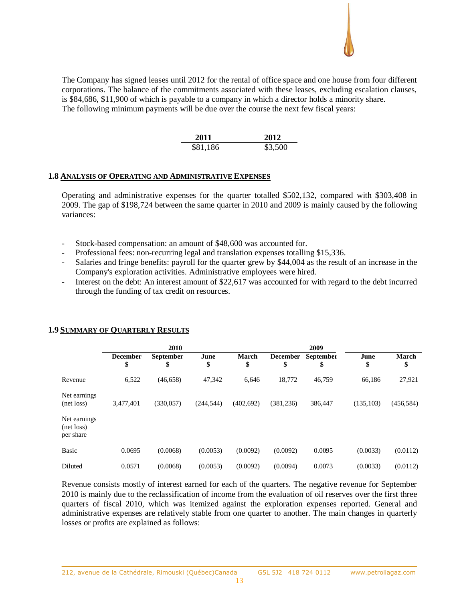The Company has signed leases until 2012 for the rental of office space and one house from four different corporations. The balance of the commitments associated with these leases, excluding escalation clauses, is \$84,686, \$11,900 of which is payable to a company in which a director holds a minority share. The following minimum payments will be due over the course the next few fiscal years:

| 2011     | 2012    |
|----------|---------|
| \$81,186 | \$3,500 |

#### **1.8 ANALYSIS OF OPERATING AND ADMINISTRATIVE EXPENSES**

Operating and administrative expenses for the quarter totalled \$502,132, compared with \$303,408 in 2009. The gap of \$198,724 between the same quarter in 2010 and 2009 is mainly caused by the following variances:

- Stock-based compensation: an amount of \$48,600 was accounted for.
- Professional fees: non-recurring legal and translation expenses totalling \$15,336.
- Salaries and fringe benefits: payroll for the quarter grew by \$44,004 as the result of an increase in the Company's exploration activities. Administrative employees were hired.
- Interest on the debt: An interest amount of \$22,617 was accounted for with regard to the debt incurred through the funding of tax credit on resources.

|                                         | 2010                  |                        |            |                    | 2009                  |                 |            |                    |
|-----------------------------------------|-----------------------|------------------------|------------|--------------------|-----------------------|-----------------|------------|--------------------|
|                                         | <b>December</b><br>\$ | <b>September</b><br>\$ | June<br>\$ | <b>March</b><br>\$ | <b>December</b><br>\$ | September<br>\$ | June<br>\$ | <b>March</b><br>\$ |
| Revenue                                 | 6,522                 | (46, 658)              | 47,342     | 6,646              | 18,772                | 46,759          | 66,186     | 27,921             |
| Net earnings<br>(net loss)              | 3,477,401             | (330,057)              | (244, 544) | (402, 692)         | (381, 236)            | 386,447         | (135, 103) | (456, 584)         |
| Net earnings<br>(net loss)<br>per share |                       |                        |            |                    |                       |                 |            |                    |
| <b>Basic</b>                            | 0.0695                | (0.0068)               | (0.0053)   | (0.0092)           | (0.0092)              | 0.0095          | (0.0033)   | (0.0112)           |
| Diluted                                 | 0.0571                | (0.0068)               | (0.0053)   | (0.0092)           | (0.0094)              | 0.0073          | (0.0033)   | (0.0112)           |

#### **1.9 SUMMARY OF QUARTERLY RESULTS**

Revenue consists mostly of interest earned for each of the quarters. The negative revenue for September 2010 is mainly due to the reclassification of income from the evaluation of oil reserves over the first three quarters of fiscal 2010, which was itemized against the exploration expenses reported. General and administrative expenses are relatively stable from one quarter to another. The main changes in quarterly losses or profits are explained as follows: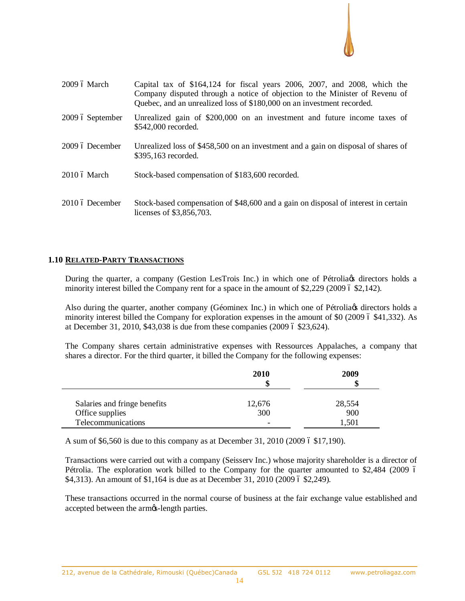

| $2009$ ó March   | Capital tax of $$164,124$ for fiscal years 2006, 2007, and 2008, which the<br>Company disputed through a notice of objection to the Minister of Revenu of<br>Quebec, and an unrealized loss of \$180,000 on an investment recorded. |
|------------------|-------------------------------------------------------------------------------------------------------------------------------------------------------------------------------------------------------------------------------------|
| 2009 ó September | Unrealized gain of \$200,000 on an investment and future income taxes of<br>\$542,000 recorded.                                                                                                                                     |
| 2009 ó December  | Unrealized loss of \$458,500 on an investment and a gain on disposal of shares of<br>\$395,163 recorded.                                                                                                                            |
| 2010 ó March     | Stock-based compensation of \$183,600 recorded.                                                                                                                                                                                     |
| 2010 ó December  | Stock-based compensation of \$48,600 and a gain on disposal of interest in certain<br>licenses of \$3,856,703.                                                                                                                      |

## **1.10 RELATED-PARTY TRANSACTIONS**

During the quarter, a company (Gestion LesTrois Inc.) in which one of Pétrolians directors holds a minority interest billed the Company rent for a space in the amount of  $$2,229$  (2009 6  $$2,142$ ).

Also during the quarter, another company (Géominex Inc.) in which one of Pétrolia & directors holds a minority interest billed the Company for exploration expenses in the amount of \$0 (2009 6 \$41,332). As at December 31, 2010,  $$43,038$  is due from these companies (2009 6 \$23,624).

The Company shares certain administrative expenses with Ressources Appalaches, a company that shares a director. For the third quarter, it billed the Company for the following expenses:

|                                                 | 2010<br>\$               | 2009<br>S     |
|-------------------------------------------------|--------------------------|---------------|
| Salaries and fringe benefits<br>Office supplies | 12,676<br>300            | 28,554<br>900 |
| Telecommunications                              | $\overline{\phantom{0}}$ | 1.501         |

A sum of \$6,560 is due to this company as at December 31, 2010 (2009 6 \$17,190).

Transactions were carried out with a company (Seisserv Inc.) whose majority shareholder is a director of Pétrolia. The exploration work billed to the Company for the quarter amounted to \$2,484 (2009 6  $$4,313$ ). An amount of  $$1,164$  is due as at December 31, 2010 (2009 6 \$2,249).

These transactions occurred in the normal course of business at the fair exchange value established and accepted between the armgs-length parties.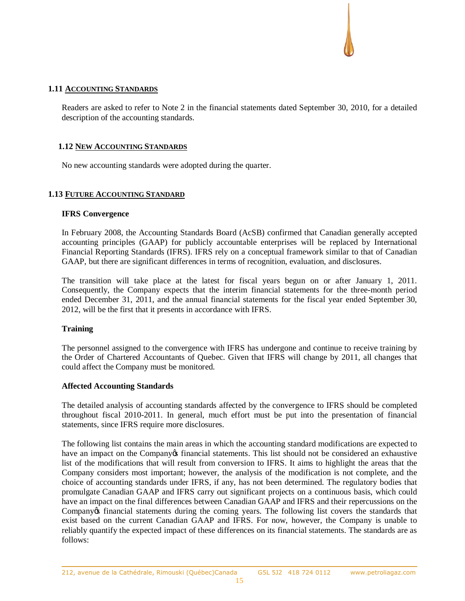## **1.11 ACCOUNTING STANDARDS**

Readers are asked to refer to Note 2 in the financial statements dated September 30, 2010, for a detailed description of the accounting standards.

## **1.12 NEW ACCOUNTING STANDARDS**

No new accounting standards were adopted during the quarter.

## **1.13 FUTURE ACCOUNTING STANDARD**

### **IFRS Convergence**

In February 2008, the Accounting Standards Board (AcSB) confirmed that Canadian generally accepted accounting principles (GAAP) for publicly accountable enterprises will be replaced by International Financial Reporting Standards (IFRS). IFRS rely on a conceptual framework similar to that of Canadian GAAP, but there are significant differences in terms of recognition, evaluation, and disclosures.

The transition will take place at the latest for fiscal years begun on or after January 1, 2011. Consequently, the Company expects that the interim financial statements for the three-month period ended December 31, 2011, and the annual financial statements for the fiscal year ended September 30, 2012, will be the first that it presents in accordance with IFRS.

### **Training**

The personnel assigned to the convergence with IFRS has undergone and continue to receive training by the Order of Chartered Accountants of Quebec. Given that IFRS will change by 2011, all changes that could affect the Company must be monitored.

### **Affected Accounting Standards**

The detailed analysis of accounting standards affected by the convergence to IFRS should be completed throughout fiscal 2010-2011. In general, much effort must be put into the presentation of financial statements, since IFRS require more disclosures.

The following list contains the main areas in which the accounting standard modifications are expected to have an impact on the Company of financial statements. This list should not be considered an exhaustive list of the modifications that will result from conversion to IFRS. It aims to highlight the areas that the Company considers most important; however, the analysis of the modification is not complete, and the choice of accounting standards under IFRS, if any, has not been determined. The regulatory bodies that promulgate Canadian GAAP and IFRS carry out significant projects on a continuous basis, which could have an impact on the final differences between Canadian GAAP and IFRS and their repercussions on the Company's financial statements during the coming years. The following list covers the standards that exist based on the current Canadian GAAP and IFRS. For now, however, the Company is unable to reliably quantify the expected impact of these differences on its financial statements. The standards are as follows: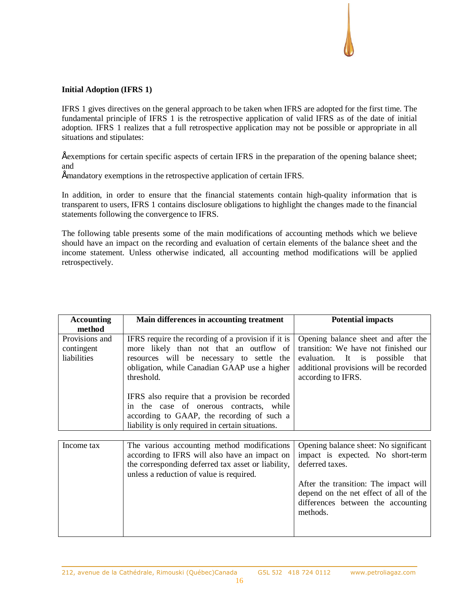# **Initial Adoption (IFRS 1)**

IFRS 1 gives directives on the general approach to be taken when IFRS are adopted for the first time. The fundamental principle of IFRS 1 is the retrospective application of valid IFRS as of the date of initial adoption. IFRS 1 realizes that a full retrospective application may not be possible or appropriate in all situations and stipulates:

• exemptions for certain specific aspects of certain IFRS in the preparation of the opening balance sheet; and

• mandatory exemptions in the retrospective application of certain IFRS.

In addition, in order to ensure that the financial statements contain high-quality information that is transparent to users, IFRS 1 contains disclosure obligations to highlight the changes made to the financial statements following the convergence to IFRS.

The following table presents some of the main modifications of accounting methods which we believe should have an impact on the recording and evaluation of certain elements of the balance sheet and the income statement. Unless otherwise indicated, all accounting method modifications will be applied retrospectively.

| <b>Accounting</b><br>method                 | Main differences in accounting treatment                                                                                                                                                                                                                                                                                                                                                                 | <b>Potential impacts</b>                                                                                                                                                          |
|---------------------------------------------|----------------------------------------------------------------------------------------------------------------------------------------------------------------------------------------------------------------------------------------------------------------------------------------------------------------------------------------------------------------------------------------------------------|-----------------------------------------------------------------------------------------------------------------------------------------------------------------------------------|
| Provisions and<br>contingent<br>liabilities | IFRS require the recording of a provision if it is<br>more likely than not that an outflow of<br>resources will be necessary to settle the<br>obligation, while Canadian GAAP use a higher<br>threshold.<br>IFRS also require that a provision be recorded<br>in the case of onerous contracts, while<br>according to GAAP, the recording of such a<br>liability is only required in certain situations. | Opening balance sheet and after the<br>transition: We have not finished our<br>evaluation. It is possible<br>that<br>additional provisions will be recorded<br>according to IFRS. |
| Income tax                                  | The various accounting method modifications<br>according to IFRS will also have an impact on<br>the corresponding deferred tax asset or liability,                                                                                                                                                                                                                                                       | Opening balance sheet: No significant<br>impact is expected. No short-term<br>deferred taxes.                                                                                     |
|                                             | unless a reduction of value is required.                                                                                                                                                                                                                                                                                                                                                                 |                                                                                                                                                                                   |

| After the transition: The impact will  |
|----------------------------------------|
| depend on the net effect of all of the |
| differences between the accounting     |
| methods.                               |
|                                        |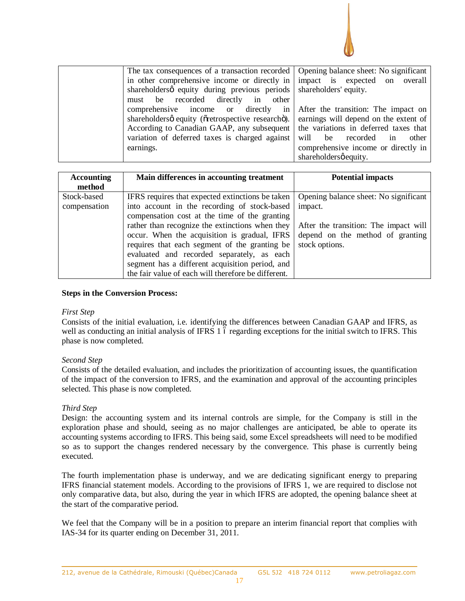

|                                                                 |  | The tax consequences of a transaction recorded   Opening balance sheet: No significant  |
|-----------------------------------------------------------------|--|-----------------------------------------------------------------------------------------|
|                                                                 |  | in other comprehensive income or directly in simpact is expected on overall             |
| shareholders quity during previous periods shareholders equity. |  |                                                                                         |
| must be recorded directly in other                              |  |                                                                                         |
|                                                                 |  | comprehensive income or directly in After the transition: The impact on                 |
|                                                                 |  | shareholdersø equity (overtrospective researcho). earnings will depend on the extent of |
|                                                                 |  | According to Canadian GAAP, any subsequent the variations in deferred taxes that        |
| variation of deferred taxes is charged against                  |  | will be recorded<br>in<br>other                                                         |
| earnings.                                                       |  | comprehensive income or directly in                                                     |
|                                                                 |  | shareholdersø equity.                                                                   |

| <b>Accounting</b><br>method | Main differences in accounting treatment                                                                                                                                                                                                                                                                                                                                                                                                                      | <b>Potential impacts</b>                                                                                                                        |
|-----------------------------|---------------------------------------------------------------------------------------------------------------------------------------------------------------------------------------------------------------------------------------------------------------------------------------------------------------------------------------------------------------------------------------------------------------------------------------------------------------|-------------------------------------------------------------------------------------------------------------------------------------------------|
| Stock-based<br>compensation | IFRS requires that expected extinctions be taken<br>into account in the recording of stock-based<br>compensation cost at the time of the granting<br>rather than recognize the extinctions when they<br>occur. When the acquisition is gradual, IFRS<br>requires that each segment of the granting be<br>evaluated and recorded separately, as each<br>segment has a different acquisition period, and<br>the fair value of each will therefore be different. | Opening balance sheet: No significant<br>impact.<br>After the transition: The impact will<br>depend on the method of granting<br>stock options. |

### **Steps in the Conversion Process:**

### *First Step*

Consists of the initial evaluation, i.e. identifying the differences between Canadian GAAP and IFRS, as well as conducting an initial analysis of IFRS 1 6 regarding exceptions for the initial switch to IFRS. This phase is now completed.

### *Second Step*

Consists of the detailed evaluation, and includes the prioritization of accounting issues, the quantification of the impact of the conversion to IFRS, and the examination and approval of the accounting principles selected. This phase is now completed.

### *Third Step*

Design: the accounting system and its internal controls are simple, for the Company is still in the exploration phase and should, seeing as no major challenges are anticipated, be able to operate its accounting systems according to IFRS. This being said, some Excel spreadsheets will need to be modified so as to support the changes rendered necessary by the convergence. This phase is currently being executed.

The fourth implementation phase is underway, and we are dedicating significant energy to preparing IFRS financial statement models. According to the provisions of IFRS 1, we are required to disclose not only comparative data, but also, during the year in which IFRS are adopted, the opening balance sheet at the start of the comparative period.

We feel that the Company will be in a position to prepare an interim financial report that complies with IAS-34 for its quarter ending on December 31, 2011.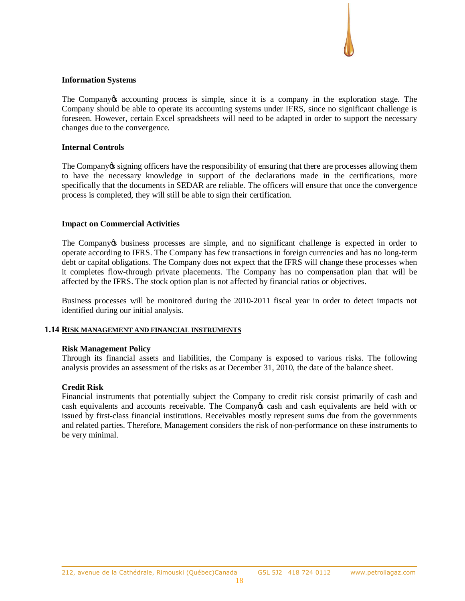## **Information Systems**

The Company ts accounting process is simple, since it is a company in the exploration stage. The Company should be able to operate its accounting systems under IFRS, since no significant challenge is foreseen. However, certain Excel spreadsheets will need to be adapted in order to support the necessary changes due to the convergence.

# **Internal Controls**

The Company ts signing officers have the responsibility of ensuring that there are processes allowing them to have the necessary knowledge in support of the declarations made in the certifications, more specifically that the documents in SEDAR are reliable. The officers will ensure that once the convergence process is completed, they will still be able to sign their certification.

## **Impact on Commercial Activities**

The Company to business processes are simple, and no significant challenge is expected in order to operate according to IFRS. The Company has few transactions in foreign currencies and has no long-term debt or capital obligations. The Company does not expect that the IFRS will change these processes when it completes flow-through private placements. The Company has no compensation plan that will be affected by the IFRS. The stock option plan is not affected by financial ratios or objectives.

Business processes will be monitored during the 2010-2011 fiscal year in order to detect impacts not identified during our initial analysis.

# **1.14 RISK MANAGEMENT AND FINANCIAL INSTRUMENTS**

### **Risk Management Policy**

Through its financial assets and liabilities, the Company is exposed to various risks. The following analysis provides an assessment of the risks as at December 31, 2010, the date of the balance sheet.

### **Credit Risk**

Financial instruments that potentially subject the Company to credit risk consist primarily of cash and cash equivalents and accounts receivable. The Company ts cash and cash equivalents are held with or issued by first-class financial institutions. Receivables mostly represent sums due from the governments and related parties. Therefore, Management considers the risk of non-performance on these instruments to be very minimal.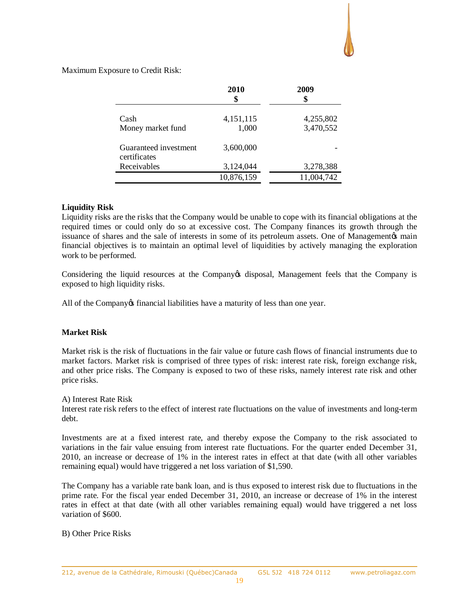Maximum Exposure to Credit Risk:

|                                       | 2010<br>\$         | 2009<br>\$             |
|---------------------------------------|--------------------|------------------------|
| Cash<br>Money market fund             | 4,151,115<br>1,000 | 4,255,802<br>3,470,552 |
| Guaranteed investment<br>certificates | 3,600,000          |                        |
| Receivables                           | 3,124,044          | 3,278,388              |
|                                       | 10,876,159         | 11,004,742             |

# **Liquidity Risk**

Liquidity risks are the risks that the Company would be unable to cope with its financial obligations at the required times or could only do so at excessive cost. The Company finances its growth through the issuance of shares and the sale of interests in some of its petroleum assets. One of Management is main financial objectives is to maintain an optimal level of liquidities by actively managing the exploration work to be performed.

Considering the liquid resources at the Company's disposal, Management feels that the Company is exposed to high liquidity risks.

All of the Company os financial liabilities have a maturity of less than one year.

# **Market Risk**

Market risk is the risk of fluctuations in the fair value or future cash flows of financial instruments due to market factors. Market risk is comprised of three types of risk: interest rate risk, foreign exchange risk, and other price risks. The Company is exposed to two of these risks, namely interest rate risk and other price risks.

### A) Interest Rate Risk

Interest rate risk refers to the effect of interest rate fluctuations on the value of investments and long-term debt.

Investments are at a fixed interest rate, and thereby expose the Company to the risk associated to variations in the fair value ensuing from interest rate fluctuations. For the quarter ended December 31, 2010, an increase or decrease of 1% in the interest rates in effect at that date (with all other variables remaining equal) would have triggered a net loss variation of \$1,590.

The Company has a variable rate bank loan, and is thus exposed to interest risk due to fluctuations in the prime rate. For the fiscal year ended December 31, 2010, an increase or decrease of 1% in the interest rates in effect at that date (with all other variables remaining equal) would have triggered a net loss variation of \$600.

# B) Other Price Risks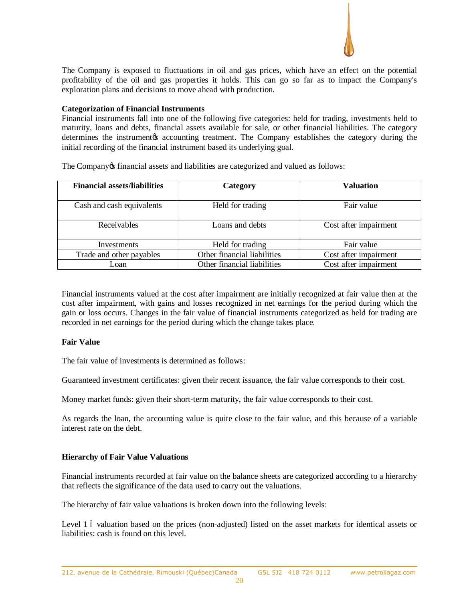

The Company is exposed to fluctuations in oil and gas prices, which have an effect on the potential profitability of the oil and gas properties it holds. This can go so far as to impact the Company's exploration plans and decisions to move ahead with production.

### **Categorization of Financial Instruments**

Financial instruments fall into one of the following five categories: held for trading, investments held to maturity, loans and debts, financial assets available for sale, or other financial liabilities. The category determines the instrument to accounting treatment. The Company establishes the category during the initial recording of the financial instrument based its underlying goal.

The Company of financial assets and liabilities are categorized and valued as follows:

| <b>Financial assets/liabilities</b> | Category                    | <b>Valuation</b>      |  |
|-------------------------------------|-----------------------------|-----------------------|--|
| Cash and cash equivalents           | Held for trading            | Fair value            |  |
| Receivables                         | Loans and debts             | Cost after impairment |  |
| Investments                         | Held for trading            | Fair value            |  |
| Trade and other payables            | Other financial liabilities | Cost after impairment |  |
| Loan                                | Other financial liabilities | Cost after impairment |  |

Financial instruments valued at the cost after impairment are initially recognized at fair value then at the cost after impairment, with gains and losses recognized in net earnings for the period during which the gain or loss occurs. Changes in the fair value of financial instruments categorized as held for trading are recorded in net earnings for the period during which the change takes place.

# **Fair Value**

The fair value of investments is determined as follows:

Guaranteed investment certificates: given their recent issuance, the fair value corresponds to their cost.

Money market funds: given their short-term maturity, the fair value corresponds to their cost.

As regards the loan, the accounting value is quite close to the fair value, and this because of a variable interest rate on the debt.

# **Hierarchy of Fair Value Valuations**

Financial instruments recorded at fair value on the balance sheets are categorized according to a hierarchy that reflects the significance of the data used to carry out the valuations.

The hierarchy of fair value valuations is broken down into the following levels:

Level 1 6 valuation based on the prices (non-adjusted) listed on the asset markets for identical assets or liabilities: cash is found on this level.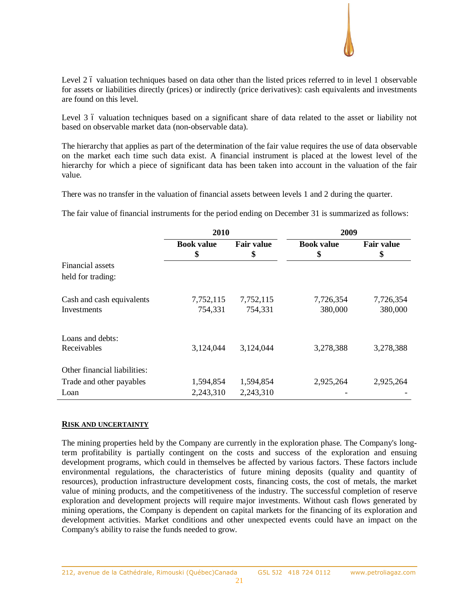

Level 2 6 valuation techniques based on data other than the listed prices referred to in level 1 observable for assets or liabilities directly (prices) or indirectly (price derivatives): cash equivalents and investments are found on this level.

Level 3 6 valuation techniques based on a significant share of data related to the asset or liability not based on observable market data (non-observable data).

The hierarchy that applies as part of the determination of the fair value requires the use of data observable on the market each time such data exist. A financial instrument is placed at the lowest level of the hierarchy for which a piece of significant data has been taken into account in the valuation of the fair value.

There was no transfer in the valuation of financial assets between levels 1 and 2 during the quarter.

The fair value of financial instruments for the period ending on December 31 is summarized as follows:

|                                 | 2010              |                   | 2009              |                   |  |
|---------------------------------|-------------------|-------------------|-------------------|-------------------|--|
|                                 | <b>Book value</b> | <b>Fair value</b> | <b>Book value</b> | <b>Fair value</b> |  |
|                                 | \$                | \$                | \$                | \$                |  |
| Financial assets                |                   |                   |                   |                   |  |
| held for trading:               |                   |                   |                   |                   |  |
| Cash and cash equivalents       | 7,752,115         | 7,752,115         | 7,726,354         | 7,726,354         |  |
| Investments                     | 754,331           | 754,331           | 380,000           | 380,000           |  |
| Loans and debts:<br>Receivables | 3,124,044         | 3,124,044         | 3,278,388         | 3,278,388         |  |
| Other financial liabilities:    |                   |                   |                   |                   |  |
| Trade and other payables        | 1,594,854         | 1,594,854         | 2,925,264         | 2,925,264         |  |
| Loan                            | 2,243,310         | 2,243,310         |                   |                   |  |

### **RISK AND UNCERTAINTY**

The mining properties held by the Company are currently in the exploration phase. The Company's longterm profitability is partially contingent on the costs and success of the exploration and ensuing development programs, which could in themselves be affected by various factors. These factors include environmental regulations, the characteristics of future mining deposits (quality and quantity of resources), production infrastructure development costs, financing costs, the cost of metals, the market value of mining products, and the competitiveness of the industry. The successful completion of reserve exploration and development projects will require major investments. Without cash flows generated by mining operations, the Company is dependent on capital markets for the financing of its exploration and development activities. Market conditions and other unexpected events could have an impact on the Company's ability to raise the funds needed to grow.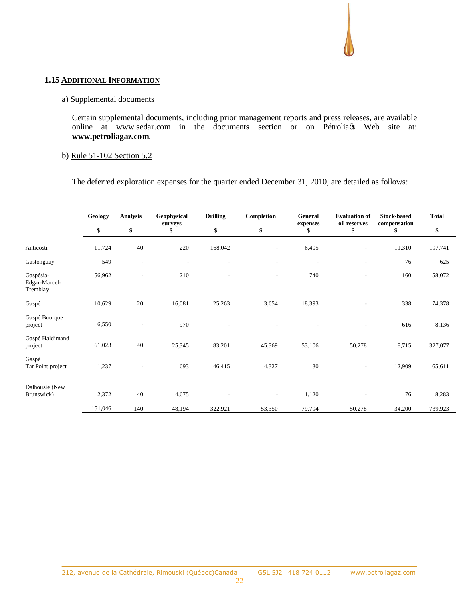## **1.15 ADDITIONAL INFORMATION**

## a) Supplemental documents

Certain supplemental documents, including prior management reports and press releases, are available online at www.sedar.com in the documents section or on Pétrolia & Web site at: **www.petroliagaz.com**.

## b) Rule 51-102 Section 5.2

The deferred exploration expenses for the quarter ended December 31, 2010, are detailed as follows:

|                                        | Geology | <b>Analysis</b>          | Geophysical<br>surveys   | <b>Drilling</b>          | Completion               | General<br>expenses | <b>Evaluation of</b><br>oil reserves | <b>Stock-based</b><br>compensation | <b>Total</b> |
|----------------------------------------|---------|--------------------------|--------------------------|--------------------------|--------------------------|---------------------|--------------------------------------|------------------------------------|--------------|
|                                        | \$      | \$                       | \$                       | \$                       | \$                       | \$                  | \$                                   | \$                                 | \$           |
| Anticosti                              | 11,724  | 40                       | 220                      | 168,042                  |                          | 6,405               | $\overline{\phantom{a}}$             | 11,310                             | 197,741      |
| Gastonguay                             | 549     | $\overline{\phantom{a}}$ | $\overline{\phantom{a}}$ | $\overline{\phantom{a}}$ | $\overline{\phantom{0}}$ |                     | $\qquad \qquad \blacksquare$         | 76                                 | 625          |
| Gaspésia-<br>Edgar-Marcel-<br>Tremblay | 56,962  | $\overline{a}$           | 210                      | $\overline{a}$           | $\overline{\phantom{0}}$ | 740                 | $\overline{a}$                       | 160                                | 58,072       |
| $\operatorname{Gasp\acute{e}}$         | 10,629  | 20                       | 16,081                   | 25,263                   | 3,654                    | 18,393              | $\qquad \qquad \blacksquare$         | 338                                | 74,378       |
| Gaspé Bourque<br>project               | 6,550   | $\overline{\phantom{a}}$ | 970                      | $\overline{a}$           |                          |                     |                                      | 616                                | 8,136        |
| Gaspé Haldimand<br>project             | 61,023  | 40                       | 25,345                   | 83,201                   | 45,369                   | 53,106              | 50,278                               | 8,715                              | 327,077      |
| Gaspé<br>Tar Point project             | 1,237   | ۰                        | 693                      | 46,415                   | 4,327                    | 30                  |                                      | 12,909                             | 65,611       |
| Dalhousie (New<br>Brunswick)           | 2,372   | 40                       | 4,675                    | $\overline{\phantom{a}}$ | $\sim$                   | 1,120               | $\overline{\phantom{a}}$             | 76                                 | 8,283        |
|                                        | 151,046 | 140                      | 48,194                   | 322,921                  | 53,350                   | 79,794              | 50,278                               | 34,200                             | 739,923      |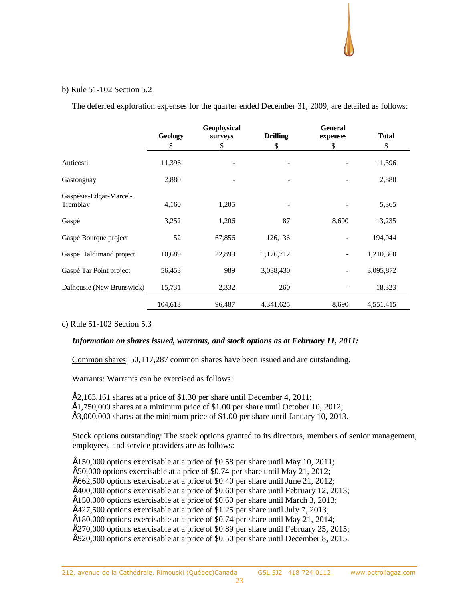## b) Rule 51-102 Section 5.2

The deferred exploration expenses for the quarter ended December 31, 2009, are detailed as follows:

|                           |         | Geophysical |                 | <b>General</b>           |              |  |
|---------------------------|---------|-------------|-----------------|--------------------------|--------------|--|
|                           | Geology | surveys     | <b>Drilling</b> | expenses                 | <b>Total</b> |  |
|                           | \$      | \$          | \$              | \$                       | \$           |  |
| Anticosti                 | 11,396  |             |                 |                          | 11,396       |  |
| Gastonguay                | 2,880   |             |                 |                          | 2,880        |  |
| Gaspésia-Edgar-Marcel-    |         |             |                 |                          |              |  |
| Tremblay                  | 4,160   | 1,205       |                 |                          | 5,365        |  |
|                           |         |             |                 |                          |              |  |
| Gaspé                     | 3,252   | 1,206       | 87              | 8,690                    | 13,235       |  |
| Gaspé Bourque project     | 52      | 67,856      | 126,136         |                          | 194,044      |  |
| Gaspé Haldimand project   | 10,689  | 22,899      | 1,176,712       | $\overline{\phantom{a}}$ | 1,210,300    |  |
|                           |         |             |                 |                          |              |  |
| Gaspé Tar Point project   | 56,453  | 989         | 3,038,430       | $\overline{\phantom{a}}$ | 3,095,872    |  |
| Dalhousie (New Brunswick) | 15,731  | 2,332       | 260             |                          | 18,323       |  |
|                           | 104,613 | 96,487      | 4,341,625       | 8,690                    | 4,551,415    |  |
|                           |         |             |                 |                          |              |  |

### c) Rule 51-102 Section 5.3

### *Information on shares issued, warrants, and stock options as at February 11, 2011:*

Common shares: 50,117,287 common shares have been issued and are outstanding.

Warrants: Warrants can be exercised as follows:

 $\dot{E}$ 2,163,161 shares at a price of \$1.30 per share until December 4, 2011;  $\dot{E}1,750,000$  shares at a minimum price of \$1.00 per share until October 10, 2012;  $\dot{E}3,000,000$  shares at the minimum price of \$1.00 per share until January 10, 2013.

Stock options outstanding: The stock options granted to its directors, members of senior management, employees, and service providers are as follows:

 $\hat{E}150,000$  options exercisable at a price of \$0.58 per share until May 10, 2011;  $\hat{E}$ 50,000 options exercisable at a price of \$0.74 per share until May 21, 2012;  $\hat{E}$ 662,500 options exercisable at a price of \$0.40 per share until June 21, 2012;  $\text{É400,000}$  options exercisable at a price of \$0.60 per share until February 12, 2013;  $\hat{E}150,000$  options exercisable at a price of \$0.60 per share until March 3, 2013;  $\text{É427,500}$  options exercisable at a price of \$1.25 per share until July 7, 2013;  $\hat{E}180,000$  options exercisable at a price of \$0.74 per share until May 21, 2014; • 270,000 options exercisable at a price of \$0.89 per share until February 25, 2015;  $\acute{E}920,000$  options exercisable at a price of \$0.50 per share until December 8, 2015.